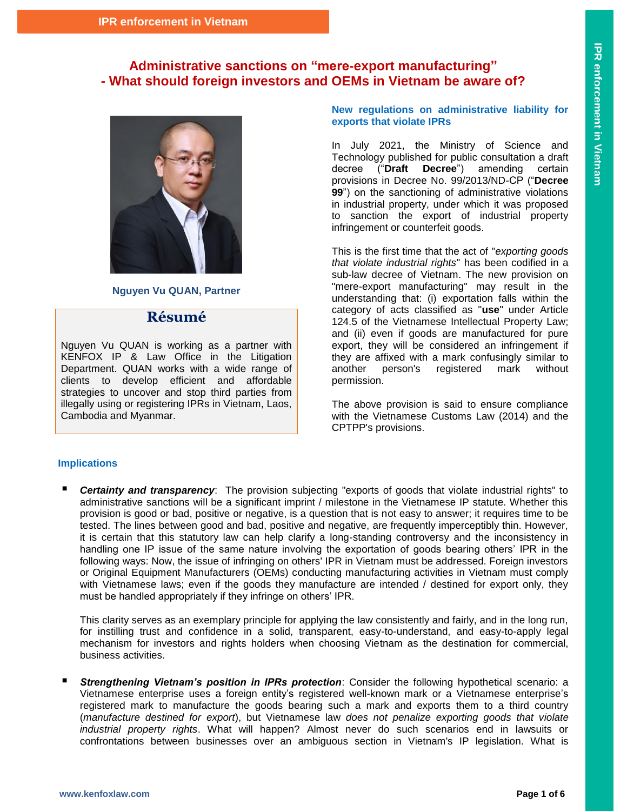## **Administrative sanctions on "mere-export manufacturing" - What should foreign investors and OEMs in Vietnam be aware of?**



**Nguyen Vu QUAN, Partner**

## **Résumé**

Nguyen Vu QUAN is working as a partner with KENFOX IP & Law Office in the Litigation Department. QUAN works with a wide range of clients to develop efficient and affordable strategies to uncover and stop third parties from illegally using or registering IPRs in Vietnam, Laos, Cambodia and Myanmar.

**New regulations on administrative liability for exports that violate IPRs**

In July 2021, the Ministry of Science and Technology published for public consultation a draft decree ("**Draft Decree**") amending certain provisions in Decree No. 99/2013/ND-CP ("**Decree 99**") on the sanctioning of administrative violations in industrial property, under which it was proposed to sanction the export of industrial property infringement or counterfeit goods.

This is the first time that the act of "*exporting goods that violate industrial rights*" has been codified in a sub-law decree of Vietnam. The new provision on "mere-export manufacturing" may result in the understanding that: (i) exportation falls within the category of acts classified as "**use**" under Article 124.5 of the Vietnamese Intellectual Property Law; and (ii) even if goods are manufactured for pure export, they will be considered an infringement if they are affixed with a mark confusingly similar to another person's registered mark without permission.

The above provision is said to ensure compliance with the Vietnamese Customs Law (2014) and the CPTPP's provisions.

### **Implications**

 *Certainty and transparency*: The provision subjecting "exports of goods that violate industrial rights" to administrative sanctions will be a significant imprint / milestone in the Vietnamese IP statute. Whether this provision is good or bad, positive or negative, is a question that is not easy to answer; it requires time to be tested. The lines between good and bad, positive and negative, are frequently imperceptibly thin. However, it is certain that this statutory law can help clarify a long-standing controversy and the inconsistency in handling one IP issue of the same nature involving the exportation of goods bearing others' IPR in the following ways: Now, the issue of infringing on others' IPR in Vietnam must be addressed. Foreign investors or Original Equipment Manufacturers (OEMs) conducting manufacturing activities in Vietnam must comply with Vietnamese laws; even if the goods they manufacture are intended / destined for export only, they must be handled appropriately if they infringe on others' IPR.

This clarity serves as an exemplary principle for applying the law consistently and fairly, and in the long run, for instilling trust and confidence in a solid, transparent, easy-to-understand, and easy-to-apply legal mechanism for investors and rights holders when choosing Vietnam as the destination for commercial, business activities.

 *Strengthening Vietnam's position in IPRs protection*: Consider the following hypothetical scenario: a Vietnamese enterprise uses a foreign entity's registered well-known mark or a Vietnamese enterprise's registered mark to manufacture the goods bearing such a mark and exports them to a third country (*manufacture destined for export*), but Vietnamese law *does not penalize exporting goods that violate industrial property rights*. What will happen? Almost never do such scenarios end in lawsuits or confrontations between businesses over an ambiguous section in Vietnam's IP legislation. What is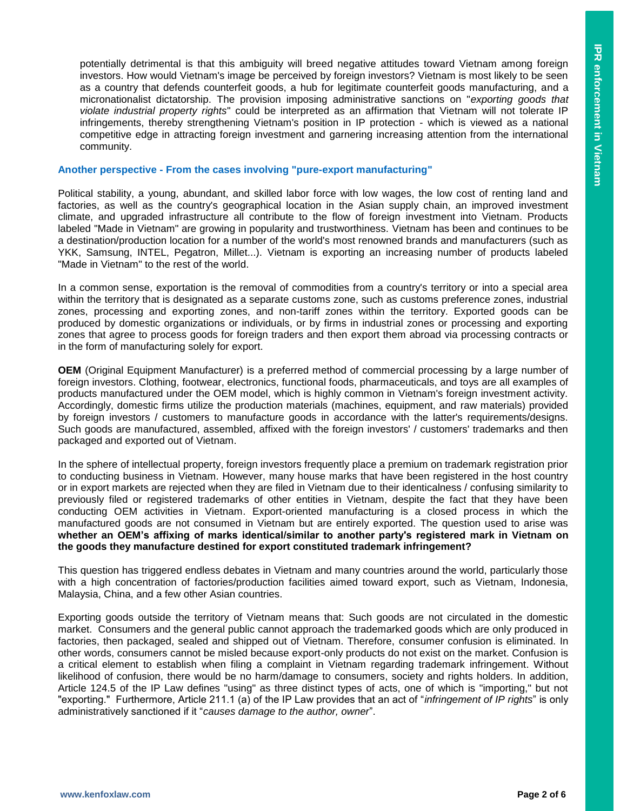potentially detrimental is that this ambiguity will breed negative attitudes toward Vietnam among foreign investors. How would Vietnam's image be perceived by foreign investors? Vietnam is most likely to be seen as a country that defends counterfeit goods, a hub for legitimate counterfeit goods manufacturing, and a micronationalist dictatorship. The provision imposing administrative sanctions on "*exporting goods that violate industrial property rights*" could be interpreted as an affirmation that Vietnam will not tolerate IP infringements, thereby strengthening Vietnam's position in IP protection - which is viewed as a national competitive edge in attracting foreign investment and garnering increasing attention from the international community.

#### **Another perspective - From the cases involving "pure-export manufacturing"**

Political stability, a young, abundant, and skilled labor force with low wages, the low cost of renting land and factories, as well as the country's geographical location in the Asian supply chain, an improved investment climate, and upgraded infrastructure all contribute to the flow of foreign investment into Vietnam. Products labeled "Made in Vietnam" are growing in popularity and trustworthiness. Vietnam has been and continues to be a destination/production location for a number of the world's most renowned brands and manufacturers (such as YKK, Samsung, INTEL, Pegatron, Millet...). Vietnam is exporting an increasing number of products labeled "Made in Vietnam" to the rest of the world.

In a common sense, exportation is the removal of commodities from a country's territory or into a special area within the territory that is designated as a separate customs zone, such as customs preference zones, industrial zones, processing and exporting zones, and non-tariff zones within the territory. Exported goods can be produced by domestic organizations or individuals, or by firms in industrial zones or processing and exporting zones that agree to process goods for foreign traders and then export them abroad via processing contracts or in the form of manufacturing solely for export.

**OEM** (Original Equipment Manufacturer) is a preferred method of commercial processing by a large number of foreign investors. Clothing, footwear, electronics, functional foods, pharmaceuticals, and toys are all examples of products manufactured under the OEM model, which is highly common in Vietnam's foreign investment activity. Accordingly, domestic firms utilize the production materials (machines, equipment, and raw materials) provided by foreign investors / customers to manufacture goods in accordance with the latter's requirements/designs. Such goods are manufactured, assembled, affixed with the foreign investors' / customers' trademarks and then packaged and exported out of Vietnam.

In the sphere of intellectual property, foreign investors frequently place a premium on trademark registration prior to conducting business in Vietnam. However, many house marks that have been registered in the host country or in export markets are rejected when they are filed in Vietnam due to their identicalness / confusing similarity to previously filed or registered trademarks of other entities in Vietnam, despite the fact that they have been conducting OEM activities in Vietnam. Export-oriented manufacturing is a closed process in which the manufactured goods are not consumed in Vietnam but are entirely exported. The question used to arise was **whether an OEM's affixing of marks identical/similar to another party's registered mark in Vietnam on the goods they manufacture destined for export constituted trademark infringement?**

This question has triggered endless debates in Vietnam and many countries around the world, particularly those with a high concentration of factories/production facilities aimed toward export, such as Vietnam, Indonesia, Malaysia, China, and a few other Asian countries.

Exporting goods outside the territory of Vietnam means that: Such goods are not circulated in the domestic market. Consumers and the general public cannot approach the trademarked goods which are only produced in factories, then packaged, sealed and shipped out of Vietnam. Therefore, consumer confusion is eliminated. In other words, consumers cannot be misled because export-only products do not exist on the market. Confusion is a critical element to establish when filing a complaint in Vietnam regarding trademark infringement. Without likelihood of confusion, there would be no harm/damage to consumers, society and rights holders. In addition, Article 124.5 of the IP Law defines "using" as three distinct types of acts, one of which is "importing," but not "exporting." Furthermore, Article 211.1 (a) of the IP Law provides that an act of "*infringement of IP rights*" is only administratively sanctioned if it "*causes damage to the author, owner*".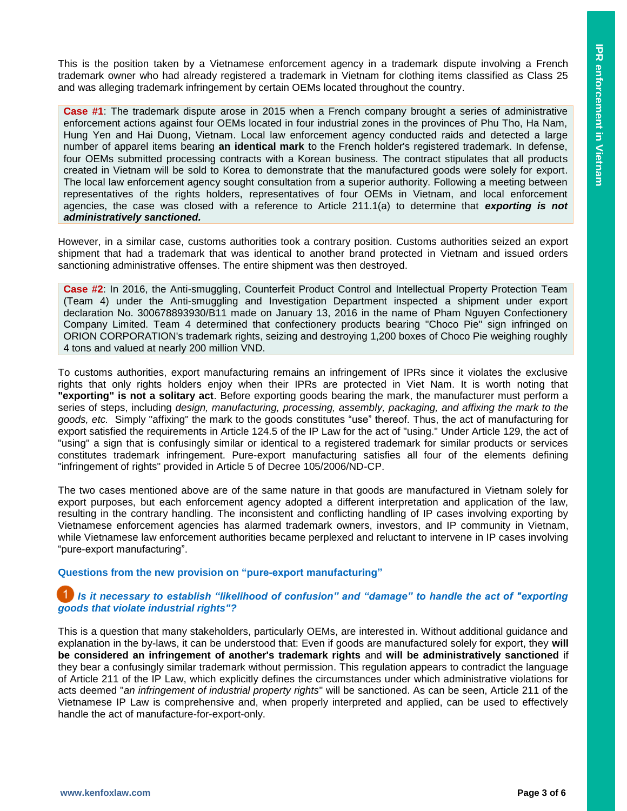This is the position taken by a Vietnamese enforcement agency in a trademark dispute involving a French trademark owner who had already registered a trademark in Vietnam for clothing items classified as Class 25 and was alleging trademark infringement by certain OEMs located throughout the country.

**Case #1**: The trademark dispute arose in 2015 when a French company brought a series of administrative enforcement actions against four OEMs located in four industrial zones in the provinces of Phu Tho, Ha Nam, Hung Yen and Hai Duong, Vietnam. Local law enforcement agency conducted raids and detected a large number of apparel items bearing **an identical mark** to the French holder's registered trademark. In defense, four OEMs submitted processing contracts with a Korean business. The contract stipulates that all products created in Vietnam will be sold to Korea to demonstrate that the manufactured goods were solely for export. The local law enforcement agency sought consultation from a superior authority. Following a meeting between representatives of the rights holders, representatives of four OEMs in Vietnam, and local enforcement agencies, the case was closed with a reference to Article 211.1(a) to determine that *exporting is not administratively sanctioned.*

However, in a similar case, customs authorities took a contrary position. Customs authorities seized an export shipment that had a trademark that was identical to another brand protected in Vietnam and issued orders sanctioning administrative offenses. The entire shipment was then destroyed.

**Case #2**: In 2016, the Anti-smuggling, Counterfeit Product Control and Intellectual Property Protection Team (Team 4) under the Anti-smuggling and Investigation Department inspected a shipment under export declaration No. 300678893930/B11 made on January 13, 2016 in the name of Pham Nguyen Confectionery Company Limited. Team 4 determined that confectionery products bearing "Choco Pie" sign infringed on ORION CORPORATION's trademark rights, seizing and destroying 1,200 boxes of Choco Pie weighing roughly 4 tons and valued at nearly 200 million VND.

To customs authorities, export manufacturing remains an infringement of IPRs since it violates the exclusive rights that only rights holders enjoy when their IPRs are protected in Viet Nam. It is worth noting that **"exporting" is not a solitary act**. Before exporting goods bearing the mark, the manufacturer must perform a series of steps, including *design, manufacturing, processing, assembly, packaging, and affixing the mark to the goods, etc.* Simply "affixing" the mark to the goods constitutes "use" thereof. Thus, the act of manufacturing for export satisfied the requirements in Article 124.5 of the IP Law for the act of "using." Under Article 129, the act of "using" a sign that is confusingly similar or identical to a registered trademark for similar products or services constitutes trademark infringement. Pure-export manufacturing satisfies all four of the elements defining "infringement of rights" provided in Article 5 of Decree 105/2006/ND-CP.

The two cases mentioned above are of the same nature in that goods are manufactured in Vietnam solely for export purposes, but each enforcement agency adopted a different interpretation and application of the law, resulting in the contrary handling. The inconsistent and conflicting handling of IP cases involving exporting by Vietnamese enforcement agencies has alarmed trademark owners, investors, and IP community in Vietnam, while Vietnamese law enforcement authorities became perplexed and reluctant to intervene in IP cases involving "pure-export manufacturing".

### **Questions from the new provision on "pure-export manufacturing"**

### *IS it necessary to establish "likelihood of confusion" and "damage" to handle the act of "exporting***"** *goods that violate industrial rights"?*

This is a question that many stakeholders, particularly OEMs, are interested in. Without additional guidance and explanation in the by-laws, it can be understood that: Even if goods are manufactured solely for export, they **will be considered an infringement of another's trademark rights** and **will be administratively sanctioned** if they bear a confusingly similar trademark without permission. This regulation appears to contradict the language of Article 211 of the IP Law, which explicitly defines the circumstances under which administrative violations for acts deemed "*an infringement of industrial property rights*" will be sanctioned. As can be seen, Article 211 of the Vietnamese IP Law is comprehensive and, when properly interpreted and applied, can be used to effectively handle the act of manufacture-for-export-only.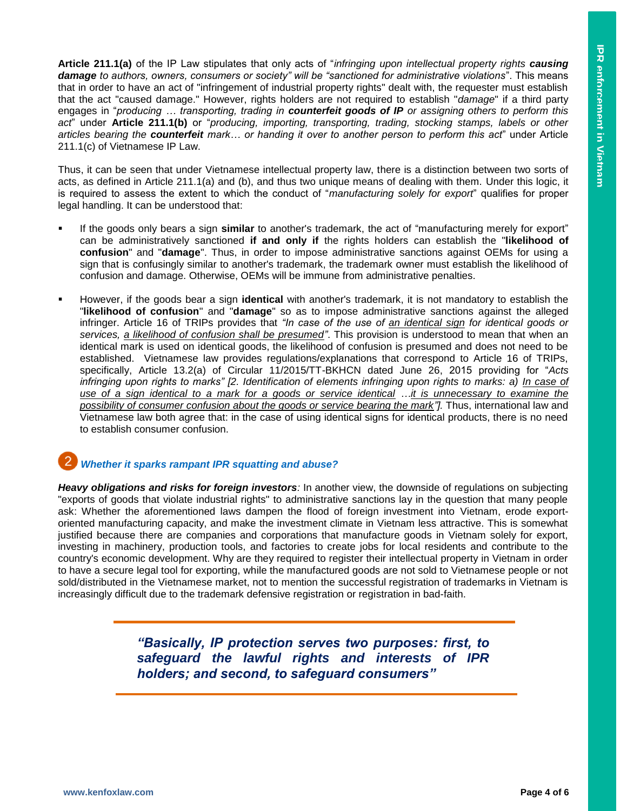**Article 211.1(a)** of the IP Law stipulates that only acts of "*infringing upon intellectual property rights causing damage to authors, owners, consumers or society" will be "sanctioned for administrative violations*". This means that in order to have an act of "infringement of industrial property rights" dealt with, the requester must establish that the act "caused damage." However, rights holders are not required to establish "*damage*" if a third party engages in "*producing … transporting, trading in counterfeit goods of IP or assigning others to perform this act*" under **Article 211.1(b)** or "*producing, importing, transporting, trading, stocking stamps, labels or other articles bearing the counterfeit mark… or handing it over to another person to perform this act*" under Article 211.1(c) of Vietnamese IP Law.

Thus, it can be seen that under Vietnamese intellectual property law, there is a distinction between two sorts of acts, as defined in Article 211.1(a) and (b), and thus two unique means of dealing with them. Under this logic, it is required to assess the extent to which the conduct of "*manufacturing solely for export*" qualifies for proper legal handling. It can be understood that:

- If the goods only bears a sign **similar** to another's trademark, the act of "manufacturing merely for export" can be administratively sanctioned **if and only if** the rights holders can establish the "**likelihood of confusion**" and "**damage**". Thus, in order to impose administrative sanctions against OEMs for using a sign that is confusingly similar to another's trademark, the trademark owner must establish the likelihood of confusion and damage. Otherwise, OEMs will be immune from administrative penalties.
- However, if the goods bear a sign **identical** with another's trademark, it is not mandatory to establish the "**likelihood of confusion**" and "**damage**" so as to impose administrative sanctions against the alleged infringer. Article 16 of TRIPs provides that *"In case of the use of an identical sign for identical goods or services, a likelihood of confusion shall be presumed"*. This provision is understood to mean that when an identical mark is used on identical goods, the likelihood of confusion is presumed and does not need to be established. Vietnamese law provides regulations/explanations that correspond to Article 16 of TRIPs, specifically, Article 13.2(a) of Circular 11/2015/TT-BKHCN dated June 26, 2015 providing for "*Acts*  infringing upon rights to marks" [2. Identification of elements infringing upon rights to marks: a) In case of *use of a sign identical to a mark for a goods or service identical …it is unnecessary to examine the possibility of consumer confusion about the goods or service bearing the mark"]*. Thus, international law and Vietnamese law both agree that: in the case of using identical signs for identical products, there is no need to establish consumer confusion.

# *Whether it sparks rampant IPR squatting and abuse?*

*Heavy obligations and risks for foreign investors:* In another view, the downside of regulations on subjecting "exports of goods that violate industrial rights" to administrative sanctions lay in the question that many people ask: Whether the aforementioned laws dampen the flood of foreign investment into Vietnam, erode exportoriented manufacturing capacity, and make the investment climate in Vietnam less attractive. This is somewhat justified because there are companies and corporations that manufacture goods in Vietnam solely for export, investing in machinery, production tools, and factories to create jobs for local residents and contribute to the country's economic development. Why are they required to register their intellectual property in Vietnam in order to have a secure legal tool for exporting, while the manufactured goods are not sold to Vietnamese people or not sold/distributed in the Vietnamese market, not to mention the successful registration of trademarks in Vietnam is increasingly difficult due to the trademark defensive registration or registration in bad-faith.

> *"Basically, IP protection serves two purposes: first, to safeguard the lawful rights and interests of IPR holders; and second, to safeguard consumers"*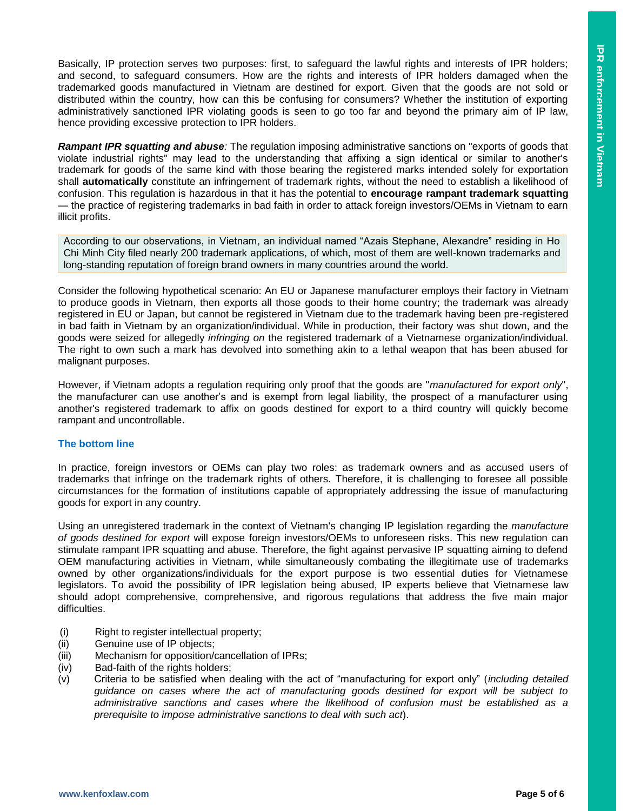Basically, IP protection serves two purposes: first, to safeguard the lawful rights and interests of IPR holders; and second, to safeguard consumers. How are the rights and interests of IPR holders damaged when the trademarked goods manufactured in Vietnam are destined for export. Given that the goods are not sold or distributed within the country, how can this be confusing for consumers? Whether the institution of exporting administratively sanctioned IPR violating goods is seen to go too far and beyond the primary aim of IP law, hence providing excessive protection to IPR holders.

*Rampant IPR squatting and abuse:* The regulation imposing administrative sanctions on "exports of goods that violate industrial rights" may lead to the understanding that affixing a sign identical or similar to another's trademark for goods of the same kind with those bearing the registered marks intended solely for exportation shall **automatically** constitute an infringement of trademark rights, without the need to establish a likelihood of confusion. This regulation is hazardous in that it has the potential to **encourage rampant trademark squatting** — the practice of registering trademarks in bad faith in order to attack foreign investors/OEMs in Vietnam to earn illicit profits.

According to our observations, in Vietnam, an individual named "Azais Stephane, Alexandre" residing in Ho Chi Minh City filed nearly 200 trademark applications, of which, most of them are well-known trademarks and long-standing reputation of foreign brand owners in many countries around the world.

Consider the following hypothetical scenario: An EU or Japanese manufacturer employs their factory in Vietnam to produce goods in Vietnam, then exports all those goods to their home country; the trademark was already registered in EU or Japan, but cannot be registered in Vietnam due to the trademark having been pre-registered in bad faith in Vietnam by an organization/individual. While in production, their factory was shut down, and the goods were seized for allegedly *infringing on* the registered trademark of a Vietnamese organization/individual. The right to own such a mark has devolved into something akin to a lethal weapon that has been abused for malignant purposes.

However, if Vietnam adopts a regulation requiring only proof that the goods are "*manufactured for export only*", the manufacturer can use another's and is exempt from legal liability, the prospect of a manufacturer using another's registered trademark to affix on goods destined for export to a third country will quickly become rampant and uncontrollable.

### **The bottom line**

In practice, foreign investors or OEMs can play two roles: as trademark owners and as accused users of trademarks that infringe on the trademark rights of others. Therefore, it is challenging to foresee all possible circumstances for the formation of institutions capable of appropriately addressing the issue of manufacturing goods for export in any country.

Using an unregistered trademark in the context of Vietnam's changing IP legislation regarding the *manufacture of goods destined for export* will expose foreign investors/OEMs to unforeseen risks. This new regulation can stimulate rampant IPR squatting and abuse. Therefore, the fight against pervasive IP squatting aiming to defend OEM manufacturing activities in Vietnam, while simultaneously combating the illegitimate use of trademarks owned by other organizations/individuals for the export purpose is two essential duties for Vietnamese legislators. To avoid the possibility of IPR legislation being abused, IP experts believe that Vietnamese law should adopt comprehensive, comprehensive, and rigorous regulations that address the five main major difficulties.

- (i) Right to register intellectual property;
- (ii) Genuine use of IP objects;
- (iii) Mechanism for opposition/cancellation of IPRs;
- (iv) Bad-faith of the rights holders;
- (v) Criteria to be satisfied when dealing with the act of "manufacturing for export only" (*including detailed guidance on cases where the act of manufacturing goods destined for export will be subject to administrative sanctions and cases where the likelihood of confusion must be established as a prerequisite to impose administrative sanctions to deal with such act*).